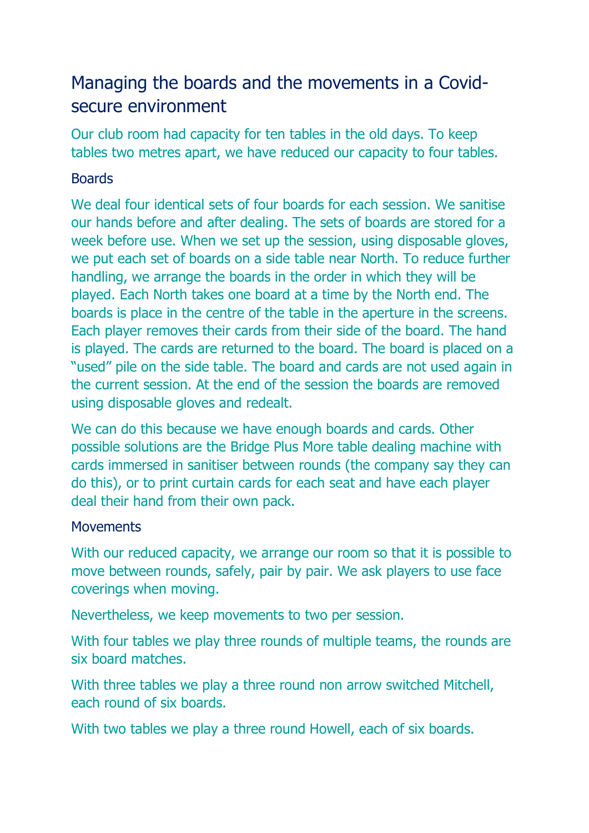## Managing the boards and the movements in a Covidsecure environment

Our club room had capacity for ten tables in the old days. To keep tables two metres apart, we have reduced our capacity to four tables.

## **Boards**

We deal four identical sets of four boards for each session. We sanitise our hands before and after dealing. The sets of boards are stored for a week before use. When we set up the session, using disposable gloves, we put each set of boards on a side table near North. To reduce further handling, we arrange the boards in the order in which they will be played. Each North takes one board at a time by the North end. The boards is place in the centre of the table in the aperture in the screens. Each player removes their cards from their side of the board. The hand is played. The cards are returned to the board. The board is placed on a "used" pile on the side table. The board and cards are not used again in the current session. At the end of the session the boards are removed using disposable gloves and redealt.

We can do this because we have enough boards and cards. Other possible solutions are the Bridge Plus More table dealing machine with cards immersed in sanitiser between rounds (the company say they can do this), or to print curtain cards for each seat and have each player deal their hand from their own pack.

## **Movements**

With our reduced capacity, we arrange our room so that it is possible to move between rounds, safely, pair by pair. We ask players to use face coverings when moving.

Nevertheless, we keep movements to two per session.

With four tables we play three rounds of multiple teams, the rounds are six board matches.

With three tables we play a three round non arrow switched Mitchell, each round of six boards.

With two tables we play a three round Howell, each of six boards.